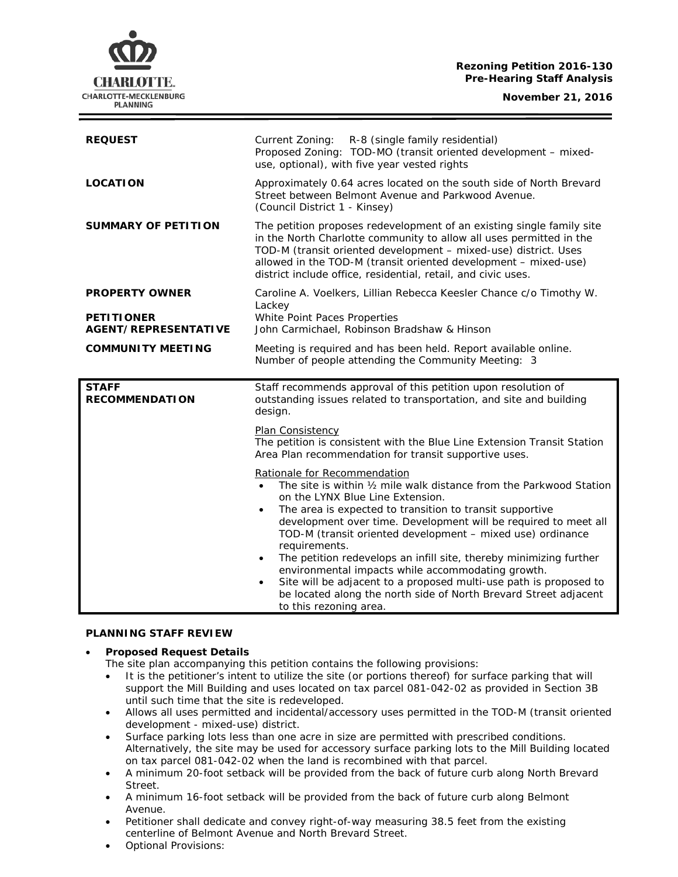#### **Rezoning Petition 2016-130 Pre-Hearing Staff Analysis**

**November 21, 2016**



| <b>REQUEST</b>                                   | Current Zoning: R-8 (single family residential)<br>Proposed Zoning: TOD-MO (transit oriented development - mixed-<br>use, optional), with five year vested rights                                                                                                                                                                                   |
|--------------------------------------------------|-----------------------------------------------------------------------------------------------------------------------------------------------------------------------------------------------------------------------------------------------------------------------------------------------------------------------------------------------------|
| <b>LOCATION</b>                                  | Approximately 0.64 acres located on the south side of North Brevard<br>Street between Belmont Avenue and Parkwood Avenue.<br>(Council District 1 - Kinsey)                                                                                                                                                                                          |
| <b>SUMMARY OF PETITION</b>                       | The petition proposes redevelopment of an existing single family site<br>in the North Charlotte community to allow all uses permitted in the<br>TOD-M (transit oriented development - mixed-use) district. Uses<br>allowed in the TOD-M (transit oriented development - mixed-use)<br>district include office, residential, retail, and civic uses. |
| <b>PROPERTY OWNER</b>                            | Caroline A. Voelkers, Lillian Rebecca Keesler Chance c/o Timothy W.<br>Lackey                                                                                                                                                                                                                                                                       |
| <b>PETITIONER</b><br><b>AGENT/REPRESENTATIVE</b> | White Point Paces Properties<br>John Carmichael, Robinson Bradshaw & Hinson                                                                                                                                                                                                                                                                         |
| <b>COMMUNITY MEETING</b>                         | Meeting is required and has been held. Report available online.<br>Number of people attending the Community Meeting: 3                                                                                                                                                                                                                              |
| <b>STAFF</b><br><b>RECOMMENDATION</b>            | Staff recommends approval of this petition upon resolution of<br>outstanding issues related to transportation, and site and building<br>design.                                                                                                                                                                                                     |
|                                                  | Plan Consistency<br>The petition is consistent with the Blue Line Extension Transit Station<br>Area Plan recommendation for transit supportive uses.                                                                                                                                                                                                |
|                                                  | Rationale for Recommendation<br>The site is within 1/2 mile walk distance from the Parkwood Station                                                                                                                                                                                                                                                 |

#### **PLANNING STAFF REVIEW**

#### • **Proposed Request Details**

The site plan accompanying this petition contains the following provisions:

It is the petitioner's intent to utilize the site (or portions thereof) for surface parking that will support the Mill Building and uses located on tax parcel 081-042-02 as provided in Section 3B until such time that the site is redeveloped.

to this rezoning area.

- Allows all uses permitted and incidental/accessory uses permitted in the TOD-M (transit oriented development - mixed-use) district.
- Surface parking lots less than one acre in size are permitted with prescribed conditions. Alternatively, the site may be used for accessory surface parking lots to the Mill Building located on tax parcel 081-042-02 when the land is recombined with that parcel.
- A minimum 20-foot setback will be provided from the back of future curb along North Brevard Street.
- A minimum 16-foot setback will be provided from the back of future curb along Belmont Avenue.
- Petitioner shall dedicate and convey right-of-way measuring 38.5 feet from the existing centerline of Belmont Avenue and North Brevard Street.
- Optional Provisions: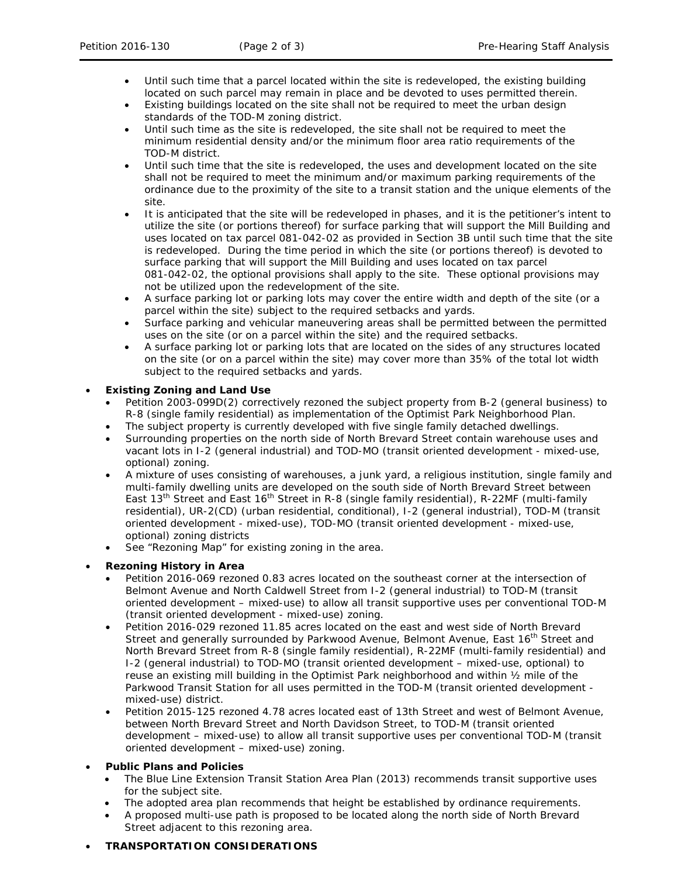- Until such time that a parcel located within the site is redeveloped, the existing building located on such parcel may remain in place and be devoted to uses permitted therein.
- Existing buildings located on the site shall not be required to meet the urban design standards of the TOD-M zoning district.
- Until such time as the site is redeveloped, the site shall not be required to meet the minimum residential density and/or the minimum floor area ratio requirements of the TOD-M district.
- Until such time that the site is redeveloped, the uses and development located on the site shall not be required to meet the minimum and/or maximum parking requirements of the ordinance due to the proximity of the site to a transit station and the unique elements of the site.
- It is anticipated that the site will be redeveloped in phases, and it is the petitioner's intent to utilize the site (or portions thereof) for surface parking that will support the Mill Building and uses located on tax parcel 081-042-02 as provided in Section 3B until such time that the site is redeveloped. During the time period in which the site (or portions thereof) is devoted to surface parking that will support the Mill Building and uses located on tax parcel 081-042-02, the optional provisions shall apply to the site. These optional provisions may not be utilized upon the redevelopment of the site.
- A surface parking lot or parking lots may cover the entire width and depth of the site (or a parcel within the site) subject to the required setbacks and yards.
- Surface parking and vehicular maneuvering areas shall be permitted between the permitted uses on the site (or on a parcel within the site) and the required setbacks.
- A surface parking lot or parking lots that are located on the sides of any structures located on the site (or on a parcel within the site) may cover more than 35% of the total lot width subject to the required setbacks and yards.

## • **Existing Zoning and Land Use**

- Petition 2003-099D(2) correctively rezoned the subject property from B-2 (general business) to R-8 (single family residential) as implementation of the *Optimist Park Neighborhood Plan*.
- The subject property is currently developed with five single family detached dwellings.
- Surrounding properties on the north side of North Brevard Street contain warehouse uses and vacant lots in I-2 (general industrial) and TOD-MO (transit oriented development - mixed-use, optional) zoning.
- A mixture of uses consisting of warehouses, a junk yard, a religious institution, single family and multi-family dwelling units are developed on the south side of North Brevard Street between East 13<sup>th</sup> Street and East 16<sup>th</sup> Street in R-8 (single family residential), R-22MF (multi-family residential), UR-2(CD) (urban residential, conditional), I-2 (general industrial), TOD-M (transit oriented development - mixed-use), TOD-MO (transit oriented development - mixed-use, optional) zoning districts
- See "Rezoning Map" for existing zoning in the area.

### • **Rezoning History in Area**

- Petition 2016-069 rezoned 0.83 acres located on the southeast corner at the intersection of Belmont Avenue and North Caldwell Street from I-2 (general industrial) to TOD-M (transit oriented development – mixed-use) to allow all transit supportive uses per conventional TOD-M (transit oriented development - mixed-use) zoning.
- Petition 2016-029 rezoned 11.85 acres located on the east and west side of North Brevard Street and generally surrounded by Parkwood Avenue, Belmont Avenue, East 16<sup>th</sup> Street and North Brevard Street from R-8 (single family residential), R-22MF (multi-family residential) and I-2 (general industrial) to TOD-MO (transit oriented development – mixed-use, optional) to reuse an existing mill building in the Optimist Park neighborhood and within ½ mile of the Parkwood Transit Station for all uses permitted in the TOD-M (transit oriented development mixed-use) district.
- Petition 2015-125 rezoned 4.78 acres located east of 13th Street and west of Belmont Avenue, between North Brevard Street and North Davidson Street, to TOD-M (transit oriented development – mixed-use) to allow all transit supportive uses per conventional TOD-M (transit oriented development – mixed-use) zoning.

### • **Public Plans and Policies**

- The *Blue Line Extension Transit Station Area Plan* (2013) recommends transit supportive uses for the subject site.
- The adopted area plan recommends that height be established by ordinance requirements.
- A proposed multi-use path is proposed to be located along the north side of North Brevard Street adjacent to this rezoning area.

### • **TRANSPORTATION CONSIDERATIONS**